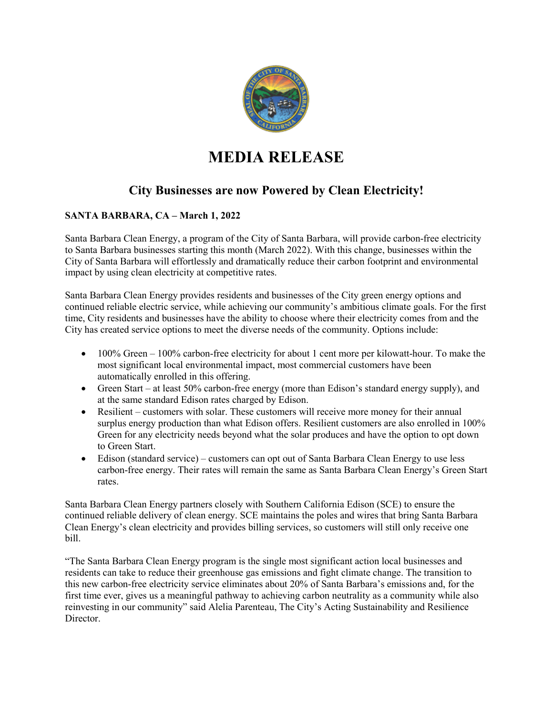

## **MEDIA RELEASE**

## **City Businesses are now Powered by Clean Electricity!**

## **SANTA BARBARA, CA – March 1, 2022**

Santa Barbara Clean Energy, a program of the City of Santa Barbara, will provide carbon-free electricity to Santa Barbara businesses starting this month (March 2022). With this change, businesses within the City of Santa Barbara will effortlessly and dramatically reduce their carbon footprint and environmental impact by using clean electricity at competitive rates.

Santa Barbara Clean Energy provides residents and businesses of the City green energy options and continued reliable electric service, while achieving our community's ambitious climate goals. For the first time, City residents and businesses have the ability to choose where their electricity comes from and the City has created service options to meet the diverse needs of the community. Options include:

- 100% Green 100% carbon-free electricity for about 1 cent more per kilowatt-hour. To make the most significant local environmental impact, most commercial customers have been automatically enrolled in this offering.
- Green Start at least 50% carbon-free energy (more than Edison's standard energy supply), and at the same standard Edison rates charged by Edison.
- Resilient customers with solar. These customers will receive more money for their annual surplus energy production than what Edison offers. Resilient customers are also enrolled in 100% Green for any electricity needs beyond what the solar produces and have the option to opt down to Green Start.
- Edison (standard service) customers can opt out of Santa Barbara Clean Energy to use less carbon-free energy. Their rates will remain the same as Santa Barbara Clean Energy's Green Start rates.

Santa Barbara Clean Energy partners closely with Southern California Edison (SCE) to ensure the continued reliable delivery of clean energy. SCE maintains the poles and wires that bring Santa Barbara Clean Energy's clean electricity and provides billing services, so customers will still only receive one bill.

"The Santa Barbara Clean Energy program is the single most significant action local businesses and residents can take to reduce their greenhouse gas emissions and fight climate change. The transition to this new carbon-free electricity service eliminates about 20% of Santa Barbara's emissions and, for the first time ever, gives us a meaningful pathway to achieving carbon neutrality as a community while also reinvesting in our community" said Alelia Parenteau, The City's Acting Sustainability and Resilience Director.